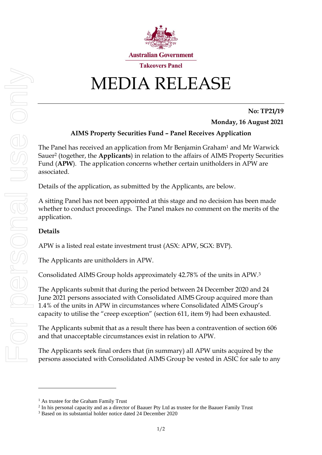

## MEDIA RELEASE

**No: TP21/19**

**Monday, 16 August 2021**

## **AIMS Property Securities Fund – Panel Receives Application**

The Panel has received an application from Mr Benjamin Graham<sup>1</sup> and Mr Warwick Sauer<sup>2</sup> (together, the **Applicants**) in relation to the affairs of AIMS Property Securities Fund (**APW**). The application concerns whether certain unitholders in APW are associated.

Details of the application, as submitted by the Applicants, are below.

A sitting Panel has not been appointed at this stage and no decision has been made whether to conduct proceedings. The Panel makes no comment on the merits of the application.

## **Details**

APW is a listed real estate investment trust (ASX: APW, SGX: BVP).

The Applicants are unitholders in APW.

Consolidated AIMS Group holds approximately 42.78% of the units in APW. 3

The Applicants submit that during the period between 24 December 2020 and 24 June 2021 persons associated with Consolidated AIMS Group acquired more than 1.4% of the units in APW in circumstances where Consolidated AIMS Group's capacity to utilise the "creep exception" (section 611, item 9) had been exhausted.

The Applicants submit that as a result there has been a contravention of section 606 and that unacceptable circumstances exist in relation to APW.

The Applicants seek final orders that (in summary) all APW units acquired by the persons associated with Consolidated AIMS Group be vested in ASIC for sale to any

<sup>&</sup>lt;sup>1</sup> As trustee for the Graham Family Trust

<sup>&</sup>lt;sup>2</sup> In his personal capacity and as a director of Baauer Pty Ltd as trustee for the Baauer Family Trust

<sup>3</sup> Based on its substantial holder notice dated 24 December 2020